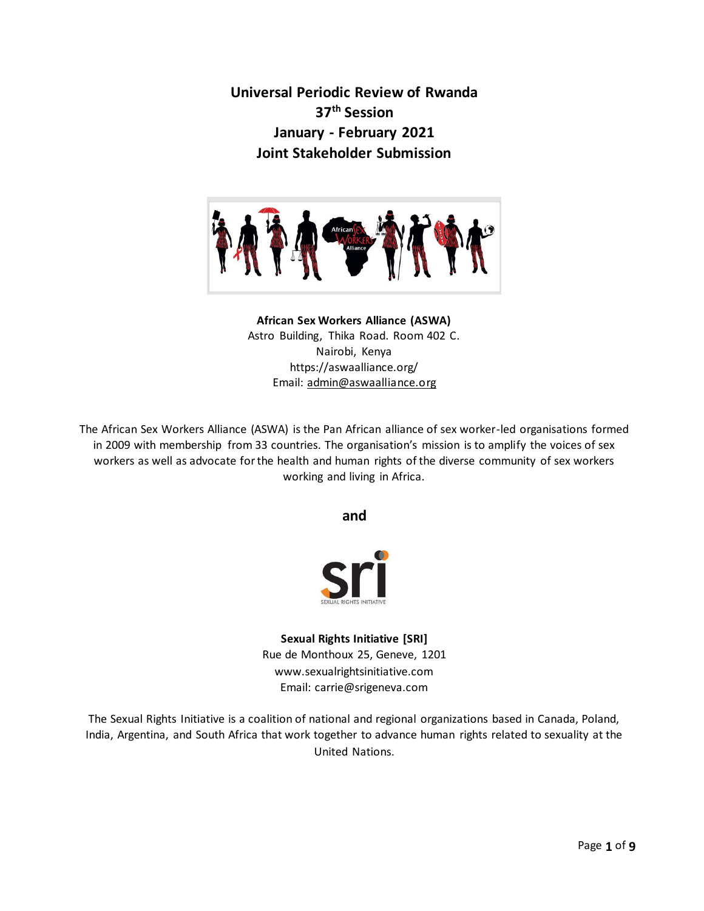**Universal Periodic Review of Rwanda 37th Session January - February 2021 Joint Stakeholder Submission** 



## **African Sex Workers Alliance (ASWA)** Astro Building, Thika Road. Room 402 C. Nairobi, Kenya https://aswaalliance.org/ Email[: admin@aswaalliance.org](mailto:admin@aswaalliance.org)

The African Sex Workers Alliance (ASWA) is the Pan African alliance of sex worker-led organisations formed in 2009 with membership from 33 countries. The organisation's mission is to amplify the voices of sex workers as well as advocate for the health and human rights of the diverse community of sex workers working and living in Africa.

**and**



**Sexual Rights Initiative [SRI]** Rue de Monthoux 25, Geneve, 1201 www.sexualrightsinitiative.com Email: carrie@srigeneva.com

The Sexual Rights Initiative is a coalition of national and regional organizations based in Canada, Poland, India, Argentina, and South Africa that work together to advance human rights related to sexuality at the United Nations.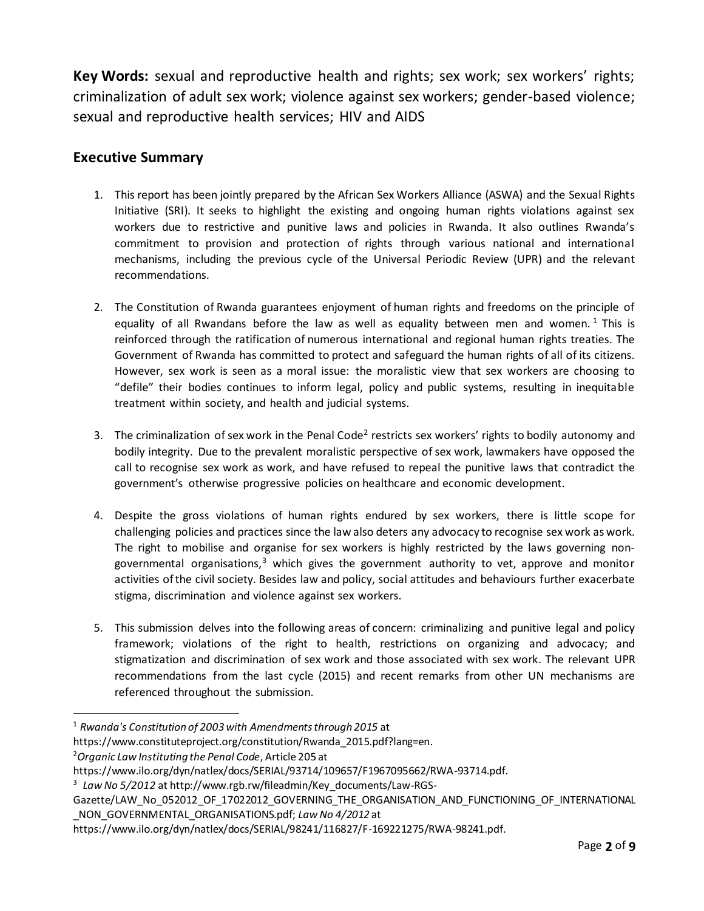**Key Words:** sexual and reproductive health and rights; sex work; sex workers' rights; criminalization of adult sex work; violence against sex workers; gender-based violence; sexual and reproductive health services; HIV and AIDS

# **Executive Summary**

- 1. This report has been jointly prepared by the African Sex Workers Alliance (ASWA) and the Sexual Rights Initiative (SRI). It seeks to highlight the existing and ongoing human rights violations against sex workers due to restrictive and punitive laws and policies in Rwanda. It also outlines Rwanda's commitment to provision and protection of rights through various national and international mechanisms, including the previous cycle of the Universal Periodic Review (UPR) and the relevant recommendations.
- 2. The Constitution of Rwanda guarantees enjoyment of human rights and freedoms on the principle of equality of all Rwandans before the law as well as equality between men and women.<sup>1</sup> This is reinforced through the ratification of numerous international and regional human rights treaties. The Government of Rwanda has committed to protect and safeguard the human rights of all of its citizens. However, sex work is seen as a moral issue: the moralistic view that sex workers are choosing to "defile" their bodies continues to inform legal, policy and public systems, resulting in inequitable treatment within society, and health and judicial systems.
- 3. The criminalization of sex work in the Penal Code<sup>2</sup> restricts sex workers' rights to bodily autonomy and bodily integrity. Due to the prevalent moralistic perspective of sex work, lawmakers have opposed the call to recognise sex work as work, and have refused to repeal the punitive laws that contradict the government's otherwise progressive policies on healthcare and economic development.
- 4. Despite the gross violations of human rights endured by sex workers, there is little scope for challenging policies and practices since the law also deters any advocacy to recognise sex work as work. The right to mobilise and organise for sex workers is highly restricted by the laws governing nongovernmental organisations, $3$  which gives the government authority to vet, approve and monitor activities of the civil society. Besides law and policy, social attitudes and behaviours further exacerbate stigma, discrimination and violence against sex workers.
- 5. This submission delves into the following areas of concern: criminalizing and punitive legal and policy framework; violations of the right to health, restrictions on organizing and advocacy; and stigmatization and discrimination of sex work and those associated with sex work. The relevant UPR recommendations from the last cycle (2015) and recent remarks from other UN mechanisms are referenced throughout the submission.

<sup>1</sup> *Rwanda's Constitution of 2003 with Amendments through 2015* at

https://www.constituteproject.org/constitution/Rwanda\_2015.pdf?lang=en.

<sup>2</sup>*Organic Law Instituting the Penal Code*, Article 205 at

[https://www.ilo.org/dyn/natlex/docs/SERIAL/93714/109657/F1967095662/RWA-93714.pdf.](https://www.ilo.org/dyn/natlex/docs/SERIAL/93714/109657/F1967095662/RWA-93714.pdf)

<sup>3</sup> *Law No 5/2012* at http://www.rgb.rw/fileadmin/Key\_documents/Law-RGS-

Gazette/LAW\_No\_052012\_OF\_17022012\_GOVERNING\_THE\_ORGANISATION\_AND\_FUNCTIONING\_OF\_INTERNATIONAL \_NON\_GOVERNMENTAL\_ORGANISATIONS.pdf; *Law No 4/2012* at

https://www.ilo.org/dyn/natlex/docs/SERIAL/98241/116827/F-169221275/RWA-98241.pdf.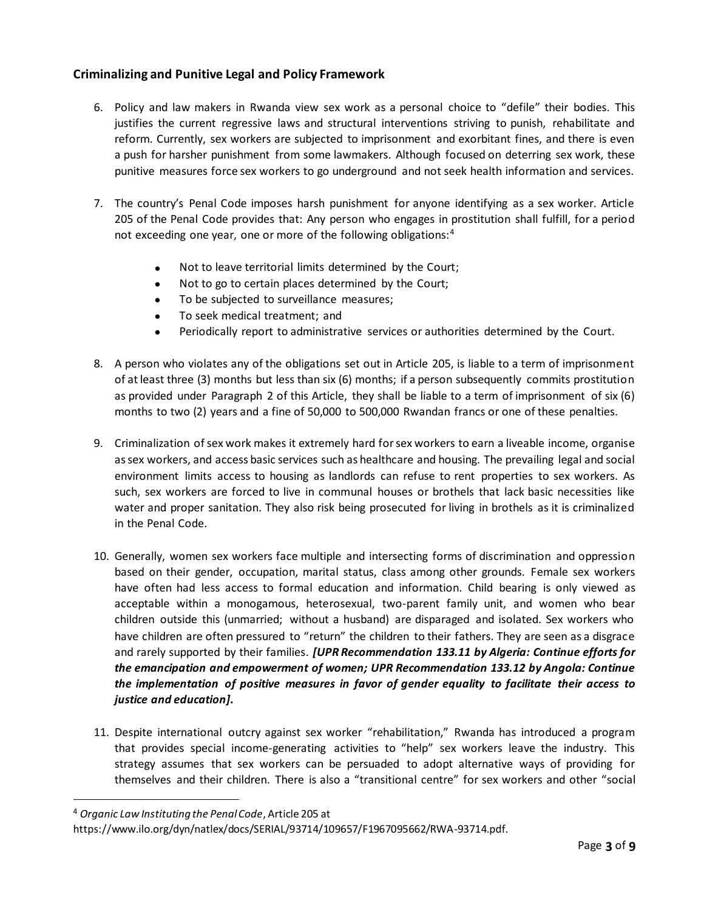### **Criminalizing and Punitive Legal and Policy Framework**

- 6. Policy and law makers in Rwanda view sex work as a personal choice to "defile" their bodies. This justifies the current regressive laws and structural interventions striving to punish, rehabilitate and reform. Currently, sex workers are subjected to imprisonment and exorbitant fines, and there is even a push for harsher punishment from some lawmakers. Although focused on deterring sex work, these punitive measures force sex workers to go underground and not seek health information and services.
- 7. The country's Penal Code imposes harsh punishment for anyone identifying as a sex worker. Article 205 of the Penal Code provides that: Any person who engages in prostitution shall fulfill, for a period not exceeding one year, one or more of the following obligations:<sup>4</sup>
	- Not to leave territorial limits determined by the Court;
	- Not to go to certain places determined by the Court;
	- To be subjected to surveillance measures;
	- To seek medical treatment; and
	- Periodically report to administrative services or authorities determined by the Court.
- 8. A person who violates any of the obligations set out in Article 205, is liable to a term of imprisonment of at least three (3) months but less than six (6) months; if a person subsequently commits prostitution as provided under Paragraph 2 of this Article, they shall be liable to a term of imprisonment of six (6) months to two (2) years and a fine of 50,000 to 500,000 Rwandan francs or one of these penalties.
- 9. Criminalization of sex work makes it extremely hard for sex workers to earn a liveable income, organise as sex workers, and access basic services such as healthcare and housing. The prevailing legal and social environment limits access to housing as landlords can refuse to rent properties to sex workers. As such, sex workers are forced to live in communal houses or brothels that lack basic necessities like water and proper sanitation. They also risk being prosecuted for living in brothels as it is criminalized in the Penal Code.
- 10. Generally, women sex workers face multiple and intersecting forms of discrimination and oppression based on their gender, occupation, marital status, class among other grounds. Female sex workers have often had less access to formal education and information. Child bearing is only viewed as acceptable within a monogamous, heterosexual, two-parent family unit, and women who bear children outside this (unmarried; without a husband) are disparaged and isolated. Sex workers who have children are often pressured to "return" the children to their fathers. They are seen as a disgrace and rarely supported by their families. *[UPR Recommendation 133.11 by Algeria: Continue efforts for the emancipation and empowerment of women; UPR Recommendation 133.12 by Angola: Continue the implementation of positive measures in favor of gender equality to facilitate their access to justice and education].*
- 11. Despite international outcry against sex worker "rehabilitation," Rwanda has introduced a program that provides special income-generating activities to "help" sex workers leave the industry. This strategy assumes that sex workers can be persuaded to adopt alternative ways of providing for themselves and their children. There is also a "transitional centre" for sex workers and other "social

j

<sup>4</sup> *Organic Law Instituting the Penal Code*, Article 205 at

[https://www.ilo.org/dyn/natlex/docs/SERIAL/93714/109657/F1967095662/RWA-93714.pdf.](https://www.ilo.org/dyn/natlex/docs/SERIAL/93714/109657/F1967095662/RWA-93714.pdf)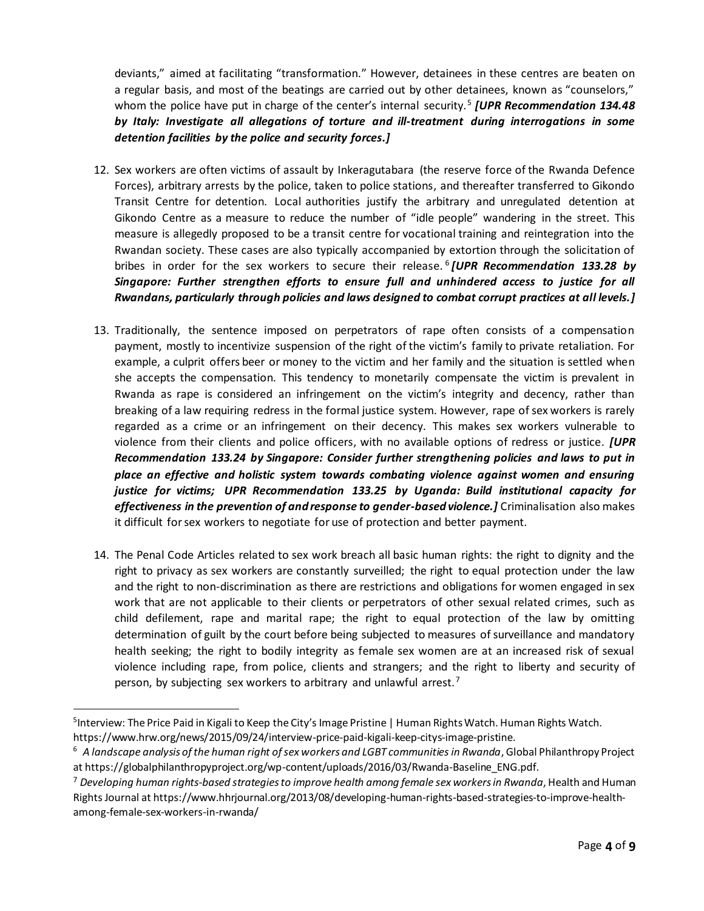deviants," aimed at facilitating "transformation." However, detainees in these centres are beaten on a regular basis, and most of the beatings are carried out by other detainees, known as "counselors," whom the police have put in charge of the center's internal security.<sup>5</sup> [UPR Recommendation 134.48 *by Italy: Investigate all allegations of torture and ill-treatment during interrogations in some detention facilities by the police and security forces.]*

- 12. Sex workers are often victims of assault by Inkeragutabara (the reserve force of the Rwanda Defence Forces), arbitrary arrests by the police, taken to police stations, and thereafter transferred to Gikondo Transit Centre for detention. Local authorities justify the arbitrary and unregulated detention at Gikondo Centre as a measure to reduce the number of "idle people" wandering in the street. This measure is allegedly proposed to be a transit centre for vocational training and reintegration into the Rwandan society. These cases are also typically accompanied by extortion through the solicitation of bribes in order for the sex workers to secure their release. <sup>6</sup> *[UPR Recommendation 133.28 by Singapore: Further strengthen efforts to ensure full and unhindered access to justice for all Rwandans, particularly through policies and laws designed to combat corrupt practices at all levels.]*
- 13. Traditionally, the sentence imposed on perpetrators of rape often consists of a compensation payment, mostly to incentivize suspension of the right of the victim's family to private retaliation. For example, a culprit offers beer or money to the victim and her family and the situation is settled when she accepts the compensation. This tendency to monetarily compensate the victim is prevalent in Rwanda as rape is considered an infringement on the victim's integrity and decency, rather than breaking of a law requiring redress in the formal justice system. However, rape of sex workers is rarely regarded as a crime or an infringement on their decency. This makes sex workers vulnerable to violence from their clients and police officers, with no available options of redress or justice. *[UPR Recommendation 133.24 by Singapore: Consider further strengthening policies and laws to put in place an effective and holistic system towards combating violence against women and ensuring justice for victims; UPR Recommendation 133.25 by Uganda: Build institutional capacity for effectiveness in the prevention of and response to gender-based violence.]* Criminalisation also makes it difficult for sex workers to negotiate for use of protection and better payment.
- 14. The Penal Code Articles related to sex work breach all basic human rights: the right to dignity and the right to privacy as sex workers are constantly surveilled; the right to equal protection under the law and the right to non-discrimination as there are restrictions and obligations for women engaged in sex work that are not applicable to their clients or perpetrators of other sexual related crimes, such as child defilement, rape and marital rape; the right to equal protection of the law by omitting determination of guilt by the court before being subjected to measures of surveillance and mandatory health seeking; the right to bodily integrity as female sex women are at an increased risk of sexual violence including rape, from police, clients and strangers; and the right to liberty and security of person, by subjecting sex workers to arbitrary and unlawful arrest.<sup>7</sup>

<sup>&</sup>lt;sup>5</sup>Interview: The Price Paid in Kigali to Keep the City's Image Pristine | Human Rights Watch. Human Rights Watch. <https://www.hrw.org/news/2015/09/24/interview-price-paid-kigali-keep-citys-image-pristine.>

<sup>6</sup> *A landscape analysis of the human right of sex workers and LGBT communities in Rwanda*, Global Philanthropy Project at https://globalphilanthropyproject.org/wp-content/uploads/2016/03/Rwanda-Baseline\_ENG.pdf.

<sup>7</sup> *Developing human rights-based strategies to improve health among female sex workers in Rwanda*, Health and Human Rights Journal at https://www.hhrjournal.org/2013/08/developing-human-rights-based-strategies-to-improve-healthamong-female-sex-workers-in-rwanda/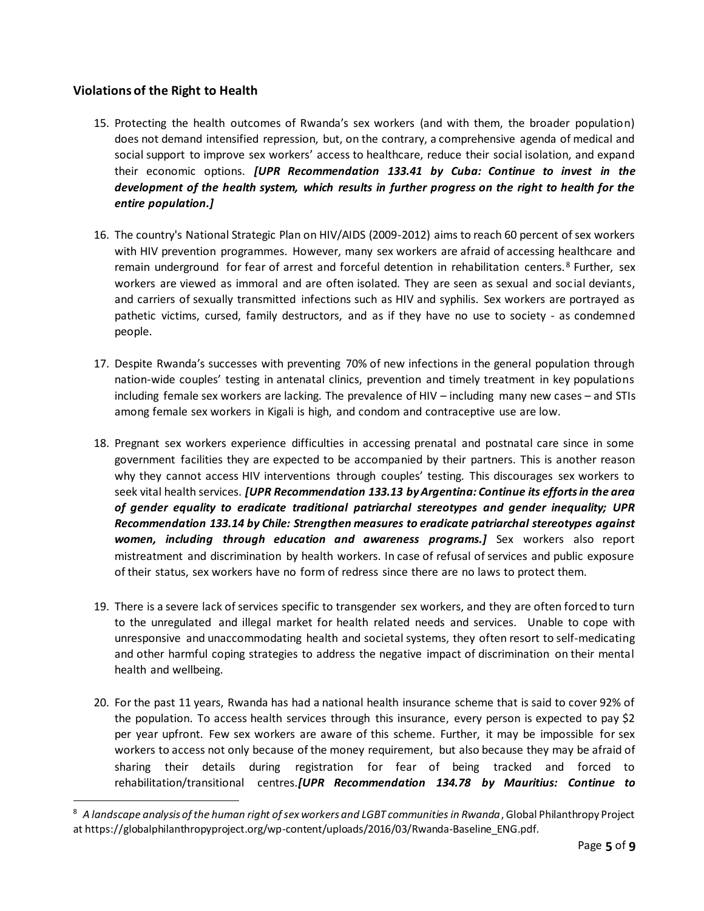## **Violations of the Right to Health**

- 15. Protecting the health outcomes of Rwanda's sex workers (and with them, the broader population) does not demand intensified repression, but, on the contrary, a comprehensive agenda of medical and social support to improve sex workers' access to healthcare, reduce their social isolation, and expand their economic options. *[UPR Recommendation 133.41 by Cuba: Continue to invest in the development of the health system, which results in further progress on the right to health for the entire population.]*
- 16. The country's National Strategic Plan on HIV/AIDS (2009-2012) aims to reach 60 percent of sex workers with HIV prevention programmes. However, many sex workers are afraid of accessing healthcare and remain underground for fear of arrest and forceful detention in rehabilitation centers.<sup>8</sup> Further, sex workers are viewed as immoral and are often isolated. They are seen as sexual and social deviants, and carriers of sexually transmitted infections such as HIV and syphilis. Sex workers are portrayed as pathetic victims, cursed, family destructors, and as if they have no use to society - as condemned people.
- 17. Despite Rwanda's successes with preventing 70% of new infections in the general population through nation-wide couples' testing in antenatal clinics, prevention and timely treatment in key populations including female sex workers are lacking. The prevalence of HIV – including many new cases – and STIs among female sex workers in Kigali is high, and condom and contraceptive use are low.
- 18. Pregnant sex workers experience difficulties in accessing prenatal and postnatal care since in some government facilities they are expected to be accompanied by their partners. This is another reason why they cannot access HIV interventions through couples' testing. This discourages sex workers to seek vital health services. *[UPR Recommendation 133.13 by Argentina: Continue its efforts in the area of gender equality to eradicate traditional patriarchal stereotypes and gender inequality; UPR Recommendation 133.14 by Chile: Strengthen measures to eradicate patriarchal stereotypes against women, including through education and awareness programs.]* Sex workers also report mistreatment and discrimination by health workers. In case of refusal of services and public exposure of their status, sex workers have no form of redress since there are no laws to protect them.
- 19. There is a severe lack of services specific to transgender sex workers, and they are often forced to turn to the unregulated and illegal market for health related needs and services. Unable to cope with unresponsive and unaccommodating health and societal systems, they often resort to self-medicating and other harmful coping strategies to address the negative impact of discrimination on their mental health and wellbeing.
- 20. For the past 11 years, Rwanda has had a national health insurance scheme that is said to cover 92% of the population. To access health services through this insurance, every person is expected to pay \$2 per year upfront. Few sex workers are aware of this scheme. Further, it may be impossible for sex workers to access not only because of the money requirement, but also because they may be afraid of sharing their details during registration for fear of being tracked and forced to rehabilitation/transitional centres.*[UPR Recommendation 134.78 by Mauritius: Continue to*

<sup>&</sup>lt;sup>8</sup> A landscape analysis of the human right of sex workers and LGBT communities in Rwanda, Global Philanthropy Project at https://globalphilanthropyproject.org/wp-content/uploads/2016/03/Rwanda-Baseline\_ENG.pdf.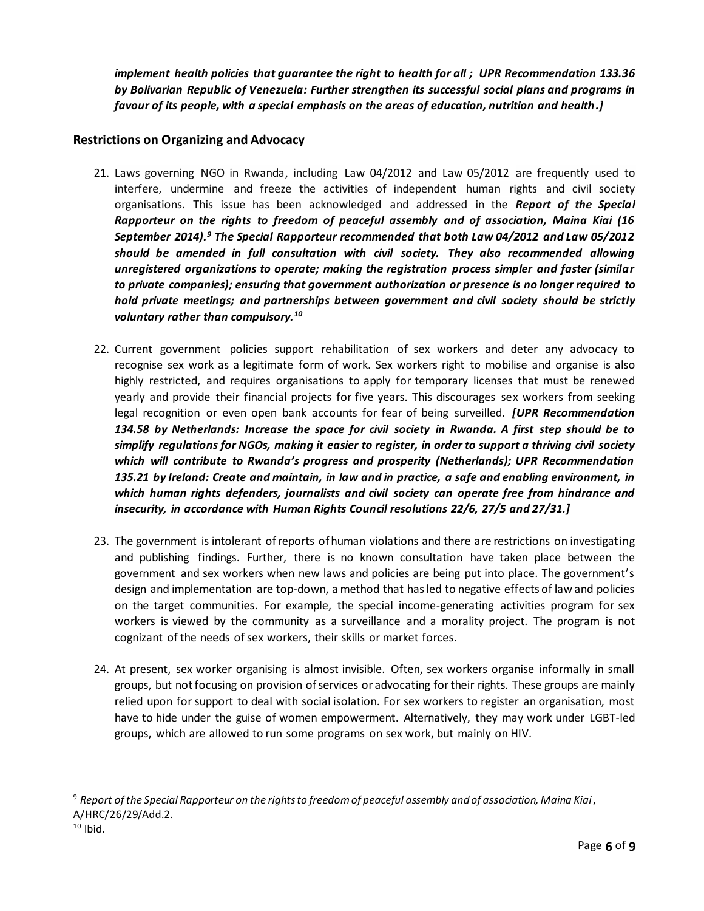*implement health policies that guarantee the right to health for all ; UPR Recommendation 133.36 by Bolivarian Republic of Venezuela: Further strengthen its successful social plans and programs in favour of its people, with a special emphasis on the areas of education, nutrition and health.]*

### **Restrictions on Organizing and Advocacy**

- 21. Laws governing NGO in Rwanda, including Law 04/2012 and Law 05/2012 are frequently used to interfere, undermine and freeze the activities of independent human rights and civil society organisations. This issue has been acknowledged and addressed in the *Report of the Special Rapporteur on the rights to freedom of peaceful assembly and of association, Maina Kiai (16 September 2014).<sup>9</sup> The Special Rapporteur recommended that both Law 04/2012 and Law 05/2012 should be amended in full consultation with civil society. They also recommended allowing unregistered organizations to operate; making the registration process simpler and faster (similar to private companies); ensuring that government authorization or presence is no longer required to hold private meetings; and partnerships between government and civil society should be strictly voluntary rather than compulsory.<sup>10</sup>*
- 22. Current government policies support rehabilitation of sex workers and deter any advocacy to recognise sex work as a legitimate form of work. Sex workers right to mobilise and organise is also highly restricted, and requires organisations to apply for temporary licenses that must be renewed yearly and provide their financial projects for five years. This discourages sex workers from seeking legal recognition or even open bank accounts for fear of being surveilled. *[UPR Recommendation 134.58 by Netherlands: Increase the space for civil society in Rwanda. A first step should be to simplify regulations for NGOs, making it easier to register, in order to support a thriving civil society which will contribute to Rwanda's progress and prosperity (Netherlands); UPR Recommendation 135.21 by Ireland: Create and maintain, in law and in practice, a safe and enabling environment, in which human rights defenders, journalists and civil society can operate free from hindrance and insecurity, in accordance with Human Rights Council resolutions 22/6, 27/5 and 27/31.]*
- 23. The government is intolerant of reports of human violations and there are restrictions on investigating and publishing findings. Further, there is no known consultation have taken place between the government and sex workers when new laws and policies are being put into place. The government's design and implementation are top-down, a method that has led to negative effects of law and policies on the target communities. For example, the special income-generating activities program for sex workers is viewed by the community as a surveillance and a morality project. The program is not cognizant of the needs of sex workers, their skills or market forces.
- 24. At present, sex worker organising is almost invisible. Often, sex workers organise informally in small groups, but not focusing on provision of services or advocating for their rights. These groups are mainly relied upon for support to deal with social isolation. For sex workers to register an organisation, most have to hide under the guise of women empowerment. Alternatively, they may work under LGBT-led groups, which are allowed to run some programs on sex work, but mainly on HIV.

<sup>9</sup> *Report of the Special Rapporteur on the rights to freedom of peaceful assembly and of association, Maina Kiai*, A/HRC/26/29/Add.2.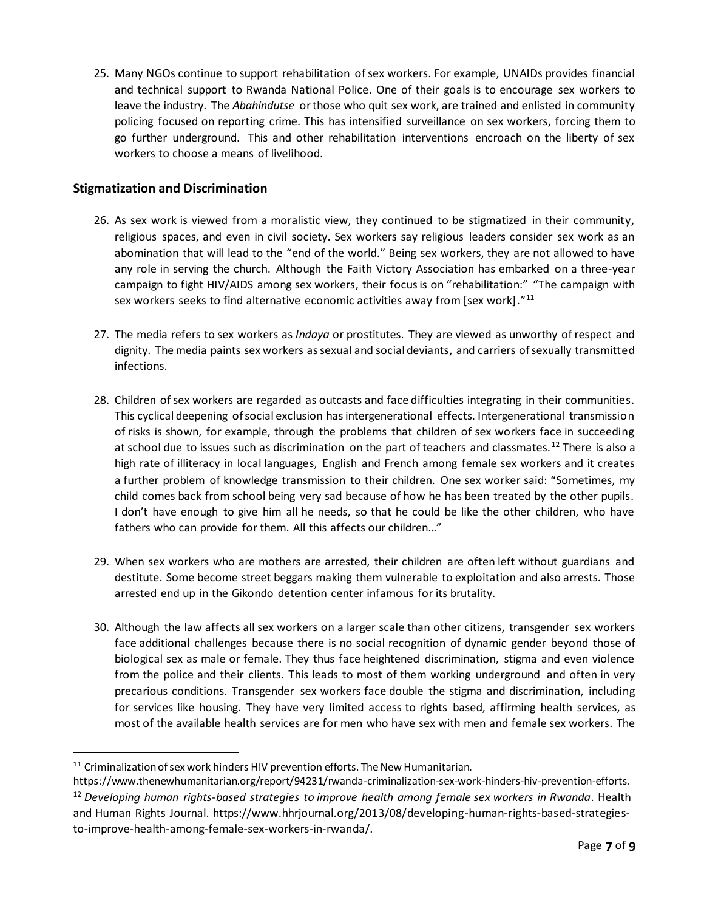25. Many NGOs continue to support rehabilitation of sex workers. For example, UNAIDs provides financial and technical support to Rwanda National Police. One of their goals is to encourage sex workers to leave the industry. The *Abahindutse* or those who quit sex work, are trained and enlisted in community policing focused on reporting crime. This has intensified surveillance on sex workers, forcing them to go further underground. This and other rehabilitation interventions encroach on the liberty of sex workers to choose a means of livelihood.

### **Stigmatization and Discrimination**

- 26. As sex work is viewed from a moralistic view, they continued to be stigmatized in their community, religious spaces, and even in civil society. Sex workers say religious leaders consider sex work as an abomination that will lead to the "end of the world." Being sex workers, they are not allowed to have any role in serving the church. Although the Faith Victory Association has embarked on a three-year campaign to fight HIV/AIDS among sex workers, their focus is on "rehabilitation:" "The campaign with sex workers seeks to find alternative economic activities away from [sex work]."<sup>11</sup>
- 27. The media refers to sex workers as *Indaya* or prostitutes. They are viewed as unworthy of respect and dignity. The media paints sex workers as sexual and social deviants, and carriers of sexually transmitted infections.
- 28. Children of sex workers are regarded as outcasts and face difficulties integrating in their communities. This cyclical deepening of social exclusion has intergenerational effects. Intergenerational transmission of risks is shown, for example, through the problems that children of sex workers face in succeeding at school due to issues such as discrimination on the part of teachers and classmates. <sup>12</sup> There is also a high rate of illiteracy in local languages, English and French among female sex workers and it creates a further problem of knowledge transmission to their children. One sex worker said: "Sometimes, my child comes back from school being very sad because of how he has been treated by the other pupils. I don't have enough to give him all he needs, so that he could be like the other children, who have fathers who can provide for them. All this affects our children…"
- 29. When sex workers who are mothers are arrested, their children are often left without guardians and destitute. Some become street beggars making them vulnerable to exploitation and also arrests. Those arrested end up in the Gikondo detention center infamous for its brutality.
- 30. Although the law affects all sex workers on a larger scale than other citizens, transgender sex workers face additional challenges because there is no social recognition of dynamic gender beyond those of biological sex as male or female. They thus face heightened discrimination, stigma and even violence from the police and their clients. This leads to most of them working underground and often in very precarious conditions. Transgender sex workers face double the stigma and discrimination, including for services like housing. They have very limited access to rights based, affirming health services, as most of the available health services are for men who have sex with men and female sex workers. The

 $\ddot{ }$ 

 $11$  Criminalization of sex work hinders HIV prevention efforts. The New Humanitarian.

https://www.thenewhumanitarian.org/report/94231/rwanda-criminalization-sex-work-hinders-hiv-prevention-efforts. <sup>12</sup> *Developing human rights-based strategies to improve health among female sex workers in Rwanda*. Health and Human Rights Journal. https://www.hhrjournal.org/2013/08/developing-human-rights-based-strategiesto-improve-health-among-female-sex-workers-in-rwanda/.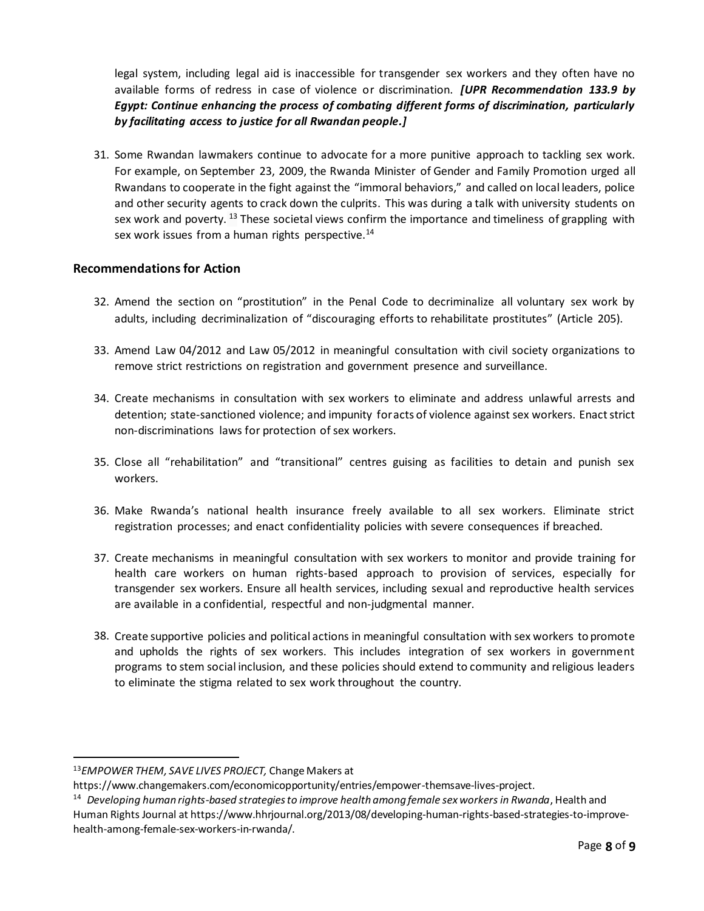legal system, including legal aid is inaccessible for transgender sex workers and they often have no available forms of redress in case of violence or discrimination. *[UPR Recommendation 133.9 by Egypt: Continue enhancing the process of combating different forms of discrimination, particularly by facilitating access to justice for all Rwandan people.]*

31. Some Rwandan lawmakers continue to advocate for a more punitive approach to tackling sex work. For example, on September 23, 2009, the Rwanda Minister of Gender and Family Promotion urged all Rwandans to cooperate in the fight against the "immoral behaviors," and called on local leaders, police and other security agents to crack down the culprits. This was during a talk with university students on sex work and poverty. <sup>13</sup> These societal views confirm the importance and timeliness of grappling with sex work issues from a human rights perspective.<sup>14</sup>

#### **Recommendations for Action**

- 32. Amend the section on "prostitution" in the Penal Code to decriminalize all voluntary sex work by adults, including decriminalization of "discouraging efforts to rehabilitate prostitutes" (Article 205).
- 33. Amend Law 04/2012 and Law 05/2012 in meaningful consultation with civil society organizations to remove strict restrictions on registration and government presence and surveillance.
- 34. Create mechanisms in consultation with sex workers to eliminate and address unlawful arrests and detention; state-sanctioned violence; and impunity for acts of violence against sex workers. Enact strict non-discriminations laws for protection of sex workers.
- 35. Close all "rehabilitation" and "transitional" centres guising as facilities to detain and punish sex workers.
- 36. Make Rwanda's national health insurance freely available to all sex workers. Eliminate strict registration processes; and enact confidentiality policies with severe consequences if breached.
- 37. Create mechanisms in meaningful consultation with sex workers to monitor and provide training for health care workers on human rights-based approach to provision of services, especially for transgender sex workers. Ensure all health services, including sexual and reproductive health services are available in a confidential, respectful and non-judgmental manner.
- 38. Create supportive policies and political actions in meaningful consultation with sex workers to promote and upholds the rights of sex workers. This includes integration of sex workers in government programs to stem social inclusion, and these policies should extend to community and religious leaders to eliminate the stigma related to sex work throughout the country.

<sup>13</sup>*EMPOWER THEM, SAVE LIVES PROJECT,* Change Makers at

<https://www.changemakers.com/economicopportunity/entries/empower-themsave-lives-project.>

<sup>14</sup> *Developing human rights-based strategies to improve health among female sex workers in Rwanda*, Health and Human Rights Journal at https://www.hhrjournal.org/2013/08/developing-human-rights-based-strategies-to-improvehealth-among-female-sex-workers-in-rwanda/.